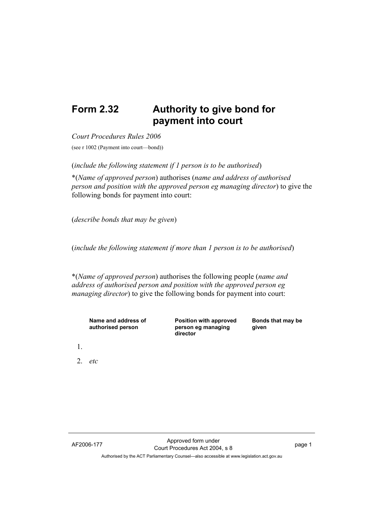## **Form 2.32 Authority to give bond for payment into court**

*Court Procedures Rules 2006*

(see r 1002 (Payment into court—bond))

(*include the following statement if 1 person is to be authorised*)

\*(*Name of approved person*) authorises (*name and address of authorised person and position with the approved person eg managing director*) to give the following bonds for payment into court:

(*describe bonds that may be given*)

(*include the following statement if more than 1 person is to be authorised*)

\*(*Name of approved person*) authorises the following people (*name and address of authorised person and position with the approved person eg managing director*) to give the following bonds for payment into court:

| Name and address of<br>authorised person | <b>Position with approved</b><br>person eg managing<br>director | Bonds that may be<br>given |
|------------------------------------------|-----------------------------------------------------------------|----------------------------|
|                                          |                                                                 |                            |

2. *etc*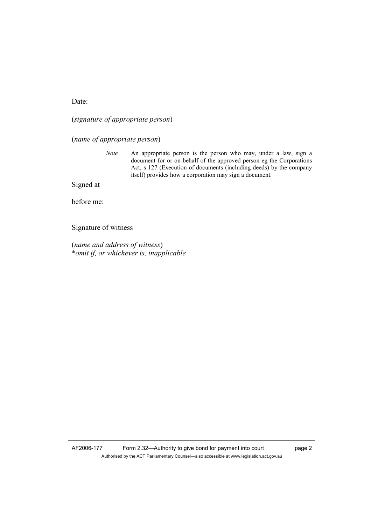Date:

(*signature of appropriate person*)

(*name of appropriate person*)

*Note* An appropriate person is the person who may, under a law, sign a document for or on behalf of the approved person eg the Corporations Act, s 127 (Execution of documents (including deeds) by the company itself) provides how a corporation may sign a document.

Signed at

before me:

Signature of witness

(*name and address of witness*) \**omit if, or whichever is, inapplicable*